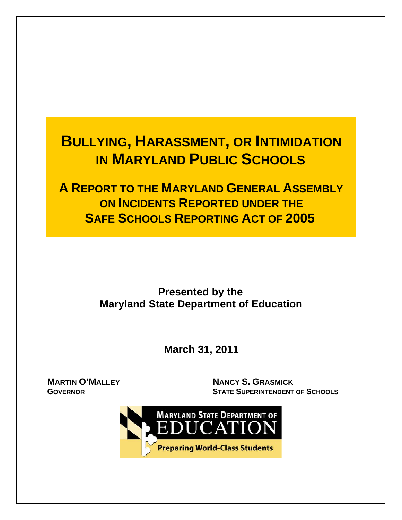# **BULLYING, HARASSMENT, OR INTIMIDATION IN MARYLAND PUBLIC SCHOOLS**

 **A REPORT TO THE MARYLAND GENERAL ASSEMBLY ON INCIDENTS REPORTED UNDER THE SAFE SCHOOLS REPORTING ACT OF 2005** 

# **Presented by the Maryland State Department of Education**

 **March 31, 2011** 

**MARTIN O'MALLEY GOVERNOR**

**NANCY S. GRASMICK STATE SUPERINTENDENT OF SCHOOLS**

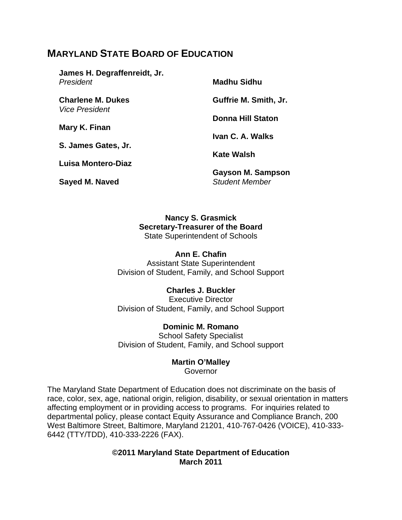# **MARYLAND STATE BOARD OF EDUCATION**

**James H. Degraffenreidt, Jr.**  *President* 

**Charlene M. Dukes**  *Vice President* 

**Mary K. Finan** 

**S. James Gates, Jr.** 

**Luisa Montero-Diaz** 

**Sayed M. Naved** 

**Madhu Sidhu** 

**Guffrie M. Smith, Jr.** 

**Donna Hill Staton** 

**Ivan C. A. Walks** 

**Kate Walsh** 

**Gayson M. Sampson**  *Student Member*

**Nancy S. Grasmick Secretary-Treasurer of the Board**  State Superintendent of Schools

#### **Ann E. Chafin**

Assistant State Superintendent Division of Student, Family, and School Support

#### **Charles J. Buckler**

Executive Director Division of Student, Family, and School Support

**Dominic M. Romano**  School Safety Specialist Division of Student, Family, and School support

#### **Martin O'Malley**

Governor

The Maryland State Department of Education does not discriminate on the basis of race, color, sex, age, national origin, religion, disability, or sexual orientation in matters affecting employment or in providing access to programs. For inquiries related to departmental policy, please contact Equity Assurance and Compliance Branch, 200 West Baltimore Street, Baltimore, Maryland 21201, 410-767-0426 (VOICE), 410-333- 6442 (TTY/TDD), 410-333-2226 (FAX).

> **©2011 Maryland State Department of Education March 2011**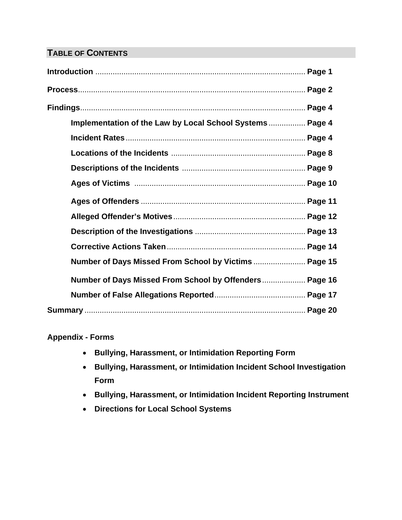# **TABLE OF CONTENTS**

| Implementation of the Law by Local School Systems Page 4 |  |
|----------------------------------------------------------|--|
|                                                          |  |
|                                                          |  |
|                                                          |  |
|                                                          |  |
|                                                          |  |
|                                                          |  |
|                                                          |  |
|                                                          |  |
| Number of Days Missed From School by Victims  Page 15    |  |
| Number of Days Missed From School by Offenders Page 16   |  |
|                                                          |  |
|                                                          |  |

#### **Appendix - Forms**

- **Bullying, Harassment, or Intimidation Reporting Form**
- **Bullying, Harassment, or Intimidation Incident School Investigation Form**
- **Bullying, Harassment, or Intimidation Incident Reporting Instrument**
- **Directions for Local School Systems**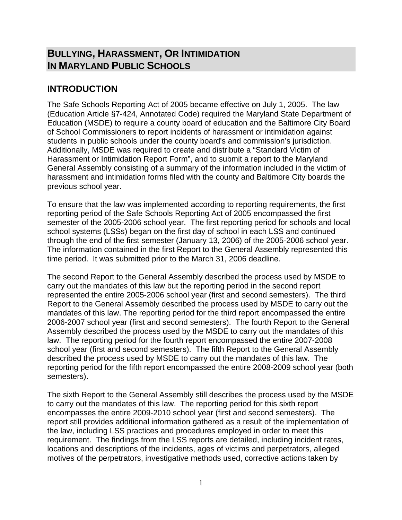# **BULLYING, HARASSMENT, OR INTIMIDATION IN MARYLAND PUBLIC SCHOOLS**

# **INTRODUCTION**

The Safe Schools Reporting Act of 2005 became effective on July 1, 2005. The law (Education Article §7-424, Annotated Code) required the Maryland State Department of Education (MSDE) to require a county board of education and the Baltimore City Board of School Commissioners to report incidents of harassment or intimidation against students in public schools under the county board's and commission's jurisdiction. Additionally, MSDE was required to create and distribute a "Standard Victim of Harassment or Intimidation Report Form", and to submit a report to the Maryland General Assembly consisting of a summary of the information included in the victim of harassment and intimidation forms filed with the county and Baltimore City boards the previous school year.

To ensure that the law was implemented according to reporting requirements, the first reporting period of the Safe Schools Reporting Act of 2005 encompassed the first semester of the 2005-2006 school year. The first reporting period for schools and local school systems (LSSs) began on the first day of school in each LSS and continued through the end of the first semester (January 13, 2006) of the 2005-2006 school year. The information contained in the first Report to the General Assembly represented this time period. It was submitted prior to the March 31, 2006 deadline.

The second Report to the General Assembly described the process used by MSDE to carry out the mandates of this law but the reporting period in the second report represented the entire 2005-2006 school year (first and second semesters). The third Report to the General Assembly described the process used by MSDE to carry out the mandates of this law. The reporting period for the third report encompassed the entire 2006-2007 school year (first and second semesters). The fourth Report to the General Assembly described the process used by the MSDE to carry out the mandates of this law. The reporting period for the fourth report encompassed the entire 2007-2008 school year (first and second semesters). The fifth Report to the General Assembly described the process used by MSDE to carry out the mandates of this law. The reporting period for the fifth report encompassed the entire 2008-2009 school year (both semesters).

The sixth Report to the General Assembly still describes the process used by the MSDE to carry out the mandates of this law. The reporting period for this sixth report encompasses the entire 2009-2010 school year (first and second semesters). The report still provides additional information gathered as a result of the implementation of the law, including LSS practices and procedures employed in order to meet this requirement. The findings from the LSS reports are detailed, including incident rates, locations and descriptions of the incidents, ages of victims and perpetrators, alleged motives of the perpetrators, investigative methods used, corrective actions taken by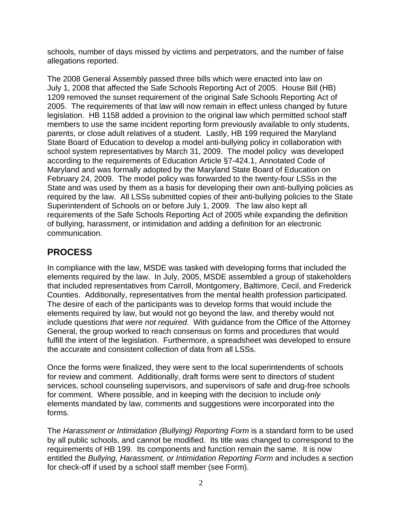schools, number of days missed by victims and perpetrators, and the number of false allegations reported.

The 2008 General Assembly passed three bills which were enacted into law on July 1, 2008 that affected the Safe Schools Reporting Act of 2005. House Bill (HB) 1209 removed the sunset requirement of the original Safe Schools Reporting Act of 2005. The requirements of that law will now remain in effect unless changed by future legislation. HB 1158 added a provision to the original law which permitted school staff members to use the same incident reporting form previously available to only students, parents, or close adult relatives of a student. Lastly, HB 199 required the Maryland State Board of Education to develop a model anti-bullying policy in collaboration with school system representatives by March 31, 2009. The model policy was developed according to the requirements of Education Article §7-424.1, Annotated Code of Maryland and was formally adopted by the Maryland State Board of Education on February 24, 2009. The model policy was forwarded to the twenty-four LSSs in the State and was used by them as a basis for developing their own anti-bullying policies as required by the law. All LSSs submitted copies of their anti-bullying policies to the State Superintendent of Schools on or before July 1, 2009. The law also kept all requirements of the Safe Schools Reporting Act of 2005 while expanding the definition of bullying, harassment, or intimidation and adding a definition for an electronic communication.

# **PROCESS**

In compliance with the law, MSDE was tasked with developing forms that included the elements required by the law. In July, 2005, MSDE assembled a group of stakeholders that included representatives from Carroll, Montgomery, Baltimore, Cecil, and Frederick Counties. Additionally, representatives from the mental health profession participated. The desire of each of the participants was to develop forms that would include the elements required by law, but would not go beyond the law, and thereby would not include questions *that were not required*. With guidance from the Office of the Attorney General, the group worked to reach consensus on forms and procedures that would fulfill the intent of the legislation. Furthermore, a spreadsheet was developed to ensure the accurate and consistent collection of data from all LSSs.

Once the forms were finalized, they were sent to the local superintendents of schools for review and comment. Additionally, draft forms were sent to directors of student services, school counseling supervisors, and supervisors of safe and drug-free schools for comment. Where possible, and in keeping with the decision to include *only*  elements mandated by law, comments and suggestions were incorporated into the forms.

The *Harassment or Intimidation (Bullying) Reporting Form* is a standard form to be used by all public schools, and cannot be modified. Its title was changed to correspond to the requirements of HB 199. Its components and function remain the same. It is now entitled the *Bullying, Harassment, or Intimidation Reporting Form* and includes a section for check-off if used by a school staff member (see Form).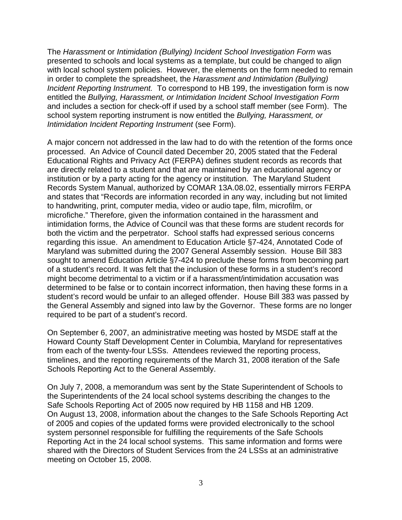The *Harassment* or *Intimidation (Bullying) Incident School Investigation Form* was presented to schools and local systems as a template, but could be changed to align with local school system policies. However, the elements on the form needed to remain in order to complete the spreadsheet, the *Harassment and Intimidation (Bullying) Incident Reporting Instrument.* To correspond to HB 199, the investigation form is now entitled the *Bullying, Harassment, or Intimidation Incident School Investigation Form* and includes a section for check-off if used by a school staff member (see Form). The school system reporting instrument is now entitled the *Bullying, Harassment, or Intimidation Incident Reporting Instrument* (see Form).

A major concern not addressed in the law had to do with the retention of the forms once processed. An Advice of Council dated December 20, 2005 stated that the Federal Educational Rights and Privacy Act (FERPA) defines student records as records that are directly related to a student and that are maintained by an educational agency or institution or by a party acting for the agency or institution. The Maryland Student Records System Manual, authorized by COMAR 13A.08.02, essentially mirrors FERPA and states that "Records are information recorded in any way, including but not limited to handwriting, print, computer media, video or audio tape, film, microfilm, or microfiche." Therefore, given the information contained in the harassment and intimidation forms, the Advice of Council was that these forms are student records for both the victim and the perpetrator. School staffs had expressed serious concerns regarding this issue. An amendment to Education Article §7-424, Annotated Code of Maryland was submitted during the 2007 General Assembly session. House Bill 383 sought to amend Education Article §7-424 to preclude these forms from becoming part of a student's record. It was felt that the inclusion of these forms in a student's record might become detrimental to a victim or if a harassment/intimidation accusation was determined to be false or to contain incorrect information, then having these forms in a student's record would be unfair to an alleged offender. House Bill 383 was passed by the General Assembly and signed into law by the Governor. These forms are no longer required to be part of a student's record.

On September 6, 2007, an administrative meeting was hosted by MSDE staff at the Howard County Staff Development Center in Columbia, Maryland for representatives from each of the twenty-four LSSs. Attendees reviewed the reporting process, timelines, and the reporting requirements of the March 31, 2008 iteration of the Safe Schools Reporting Act to the General Assembly.

On July 7, 2008, a memorandum was sent by the State Superintendent of Schools to the Superintendents of the 24 local school systems describing the changes to the Safe Schools Reporting Act of 2005 now required by HB 1158 and HB 1209. On August 13, 2008, information about the changes to the Safe Schools Reporting Act of 2005 and copies of the updated forms were provided electronically to the school system personnel responsible for fulfilling the requirements of the Safe Schools Reporting Act in the 24 local school systems. This same information and forms were shared with the Directors of Student Services from the 24 LSSs at an administrative meeting on October 15, 2008.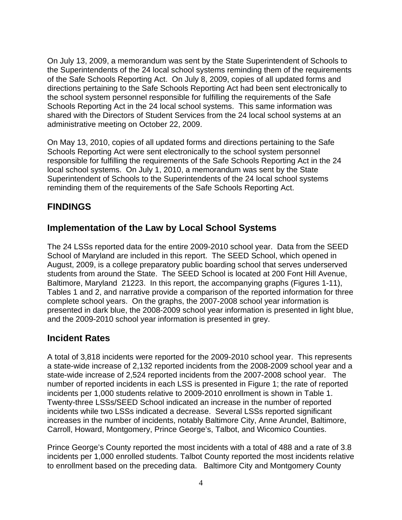On July 13, 2009, a memorandum was sent by the State Superintendent of Schools to the Superintendents of the 24 local school systems reminding them of the requirements of the Safe Schools Reporting Act. On July 8, 2009, copies of all updated forms and directions pertaining to the Safe Schools Reporting Act had been sent electronically to the school system personnel responsible for fulfilling the requirements of the Safe Schools Reporting Act in the 24 local school systems. This same information was shared with the Directors of Student Services from the 24 local school systems at an administrative meeting on October 22, 2009.

On May 13, 2010, copies of all updated forms and directions pertaining to the Safe Schools Reporting Act were sent electronically to the school system personnel responsible for fulfilling the requirements of the Safe Schools Reporting Act in the 24 local school systems. On July 1, 2010, a memorandum was sent by the State Superintendent of Schools to the Superintendents of the 24 local school systems reminding them of the requirements of the Safe Schools Reporting Act.

# **FINDINGS**

# **Implementation of the Law by Local School Systems**

The 24 LSSs reported data for the entire 2009-2010 school year. Data from the SEED School of Maryland are included in this report. The SEED School, which opened in August, 2009, is a college preparatory public boarding school that serves underserved students from around the State. The SEED School is located at 200 Font Hill Avenue, Baltimore, Maryland 21223. In this report, the accompanying graphs (Figures 1-11), Tables 1 and 2, and narrative provide a comparison of the reported information for three complete school years. On the graphs, the 2007-2008 school year information is presented in dark blue, the 2008-2009 school year information is presented in light blue, and the 2009-2010 school year information is presented in grey.

# **Incident Rates**

A total of 3,818 incidents were reported for the 2009-2010 school year. This represents a state-wide increase of 2,132 reported incidents from the 2008-2009 school year and a state-wide increase of 2,524 reported incidents from the 2007-2008 school year. The number of reported incidents in each LSS is presented in Figure 1; the rate of reported incidents per 1,000 students relative to 2009-2010 enrollment is shown in Table 1. Twenty-three LSSs/SEED School indicated an increase in the number of reported incidents while two LSSs indicated a decrease. Several LSSs reported significant increases in the number of incidents, notably Baltimore City, Anne Arundel, Baltimore, Carroll, Howard, Montgomery, Prince George's, Talbot, and Wicomico Counties.

Prince George's County reported the most incidents with a total of 488 and a rate of 3.8 incidents per 1,000 enrolled students. Talbot County reported the most incidents relative to enrollment based on the preceding data. Baltimore City and Montgomery County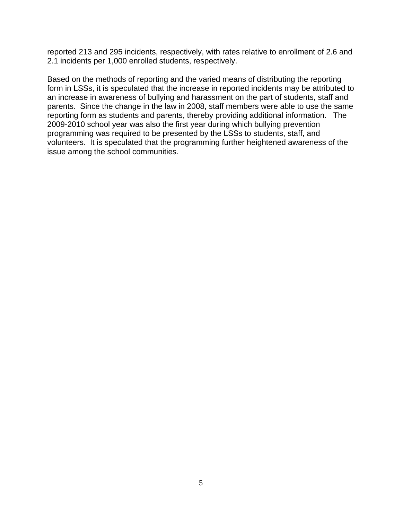reported 213 and 295 incidents, respectively, with rates relative to enrollment of 2.6 and 2.1 incidents per 1,000 enrolled students, respectively.

Based on the methods of reporting and the varied means of distributing the reporting form in LSSs, it is speculated that the increase in reported incidents may be attributed to an increase in awareness of bullying and harassment on the part of students, staff and parents. Since the change in the law in 2008, staff members were able to use the same reporting form as students and parents, thereby providing additional information. The 2009-2010 school year was also the first year during which bullying prevention programming was required to be presented by the LSSs to students, staff, and volunteers. It is speculated that the programming further heightened awareness of the issue among the school communities.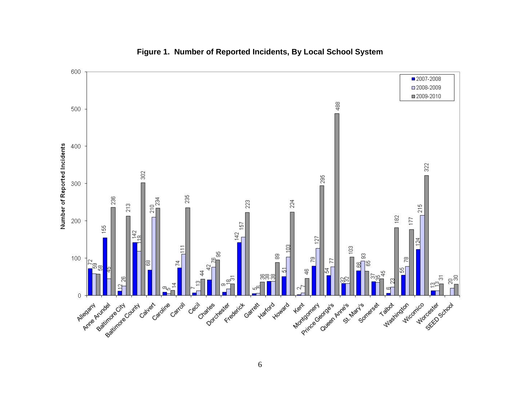

#### **Figure 1. Number of Reported Incidents, By Local School System**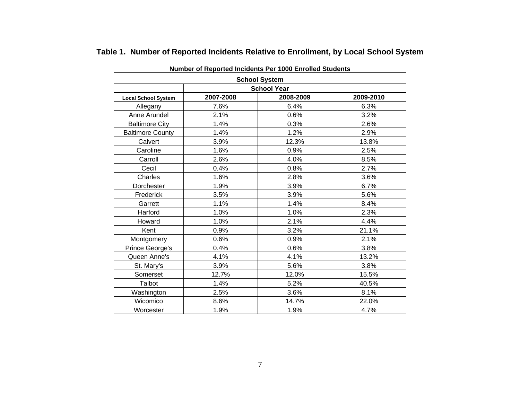| Number of Reported Incidents Per 1000 Enrolled Students |           |                      |           |
|---------------------------------------------------------|-----------|----------------------|-----------|
|                                                         |           | <b>School System</b> |           |
|                                                         |           | <b>School Year</b>   |           |
| <b>Local School System</b>                              | 2007-2008 | 2008-2009            | 2009-2010 |
| Allegany                                                | 7.6%      | 6.4%                 | 6.3%      |
| Anne Arundel                                            | 2.1%      | 0.6%                 | 3.2%      |
| <b>Baltimore City</b>                                   | 1.4%      | 0.3%                 | 2.6%      |
| <b>Baltimore County</b>                                 | 1.4%      | 1.2%                 | 2.9%      |
| Calvert                                                 | 3.9%      | 12.3%                | 13.8%     |
| Caroline                                                | 1.6%      | 0.9%                 | 2.5%      |
| Carroll                                                 | 2.6%      | 4.0%                 | 8.5%      |
| Cecil                                                   | 0.4%      | 0.8%                 | 2.7%      |
| Charles                                                 | 1.6%      | 2.8%                 | 3.6%      |
| Dorchester                                              | 1.9%      | 3.9%                 | 6.7%      |
| Frederick                                               | 3.5%      | 3.9%                 | 5.6%      |
| Garrett                                                 | 1.1%      | 1.4%                 | 8.4%      |
| Harford                                                 | 1.0%      | 1.0%                 | 2.3%      |
| Howard                                                  | 1.0%      | 2.1%                 | 4.4%      |
| Kent                                                    | 0.9%      | 3.2%                 | 21.1%     |
| Montgomery                                              | 0.6%      | 0.9%                 | 2.1%      |
| Prince George's                                         | 0.4%      | 0.6%                 | 3.8%      |
| Queen Anne's                                            | 4.1%      | 4.1%                 | 13.2%     |
| St. Mary's                                              | 3.9%      | 5.6%                 | 3.8%      |
| Somerset                                                | 12.7%     | 12.0%                | 15.5%     |
| Talbot                                                  | 1.4%      | 5.2%                 | 40.5%     |
| Washington                                              | 2.5%      | 3.6%                 | 8.1%      |
| Wicomico                                                | 8.6%      | 14.7%                | 22.0%     |
| Worcester                                               | 1.9%      | 1.9%                 | 4.7%      |

# **Table 1. Number of Reported Incidents Relative to Enrollment, by Local School System**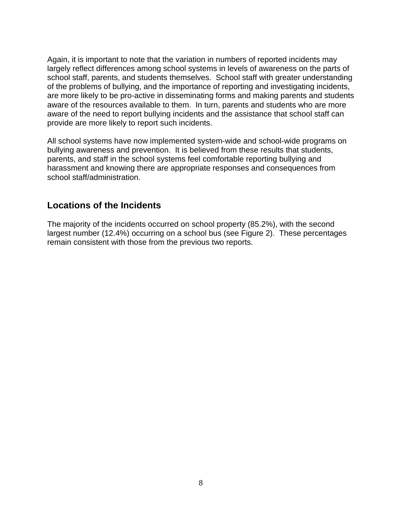Again, it is important to note that the variation in numbers of reported incidents may largely reflect differences among school systems in levels of awareness on the parts of school staff, parents, and students themselves. School staff with greater understanding of the problems of bullying, and the importance of reporting and investigating incidents, are more likely to be pro-active in disseminating forms and making parents and students aware of the resources available to them. In turn, parents and students who are more aware of the need to report bullying incidents and the assistance that school staff can provide are more likely to report such incidents.

All school systems have now implemented system-wide and school-wide programs on bullying awareness and prevention. It is believed from these results that students, parents, and staff in the school systems feel comfortable reporting bullying and harassment and knowing there are appropriate responses and consequences from school staff/administration.

### **Locations of the Incidents**

The majority of the incidents occurred on school property (85.2%), with the second largest number (12.4%) occurring on a school bus (see Figure 2). These percentages remain consistent with those from the previous two reports.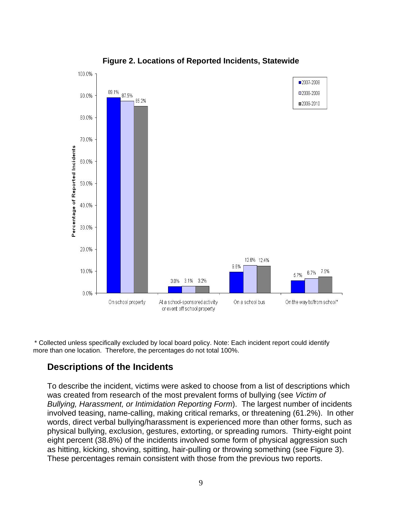

**Figure 2. Locations of Reported Incidents, Statewide** 

\* Collected unless specifically excluded by local board policy. Note: Each incident report could identify more than one location. Therefore, the percentages do not total 100%.

#### **Descriptions of the Incidents**

To describe the incident, victims were asked to choose from a list of descriptions which was created from research of the most prevalent forms of bullying (see *Victim of Bullying, Harassment, or Intimidation Reporting Form*). The largest number of incidents involved teasing, name-calling, making critical remarks, or threatening (61.2%). In other words, direct verbal bullying/harassment is experienced more than other forms, such as physical bullying, exclusion, gestures, extorting, or spreading rumors. Thirty-eight point eight percent (38.8%) of the incidents involved some form of physical aggression such as hitting, kicking, shoving, spitting, hair-pulling or throwing something (see Figure 3). These percentages remain consistent with those from the previous two reports.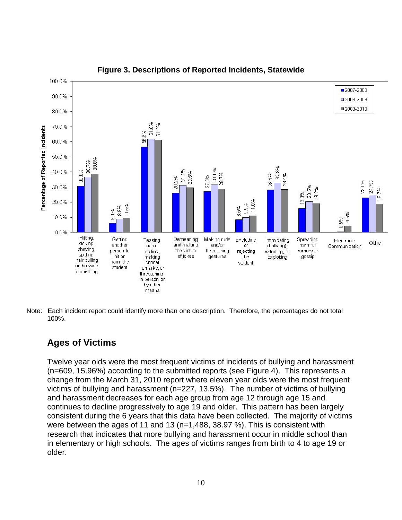

**Figure 3. Descriptions of Reported Incidents, Statewide** 

Note: Each incident report could identify more than one description. Therefore, the percentages do not total 100%.

### **Ages of Victims**

Twelve year olds were the most frequent victims of incidents of bullying and harassment (n=609, 15.96%) according to the submitted reports (see Figure 4). This represents a change from the March 31, 2010 report where eleven year olds were the most frequent victims of bullying and harassment (n=227, 13.5%). The number of victims of bullying and harassment decreases for each age group from age 12 through age 15 and continues to decline progressively to age 19 and older. This pattern has been largely consistent during the 6 years that this data have been collected. The majority of victims were between the ages of 11 and 13 (n=1,488, 38.97 %). This is consistent with research that indicates that more bullying and harassment occur in middle school than in elementary or high schools. The ages of victims ranges from birth to 4 to age 19 or older.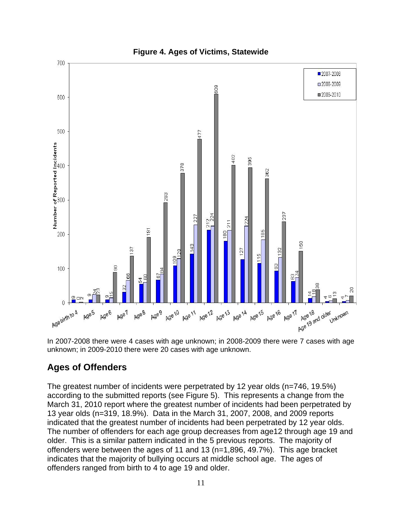

In 2007-2008 there were 4 cases with age unknown; in 2008-2009 there were 7 cases with age unknown; in 2009-2010 there were 20 cases with age unknown.

# **Ages of Offenders**

The greatest number of incidents were perpetrated by 12 year olds (n=746, 19.5%) according to the submitted reports (see Figure 5). This represents a change from the March 31, 2010 report where the greatest number of incidents had been perpetrated by 13 year olds (n=319, 18.9%). Data in the March 31, 2007, 2008, and 2009 reports indicated that the greatest number of incidents had been perpetrated by 12 year olds. The number of offenders for each age group decreases from age12 through age 19 and older. This is a similar pattern indicated in the 5 previous reports. The majority of offenders were between the ages of 11 and 13 (n=1,896, 49.7%). This age bracket indicates that the majority of bullying occurs at middle school age. The ages of offenders ranged from birth to 4 to age 19 and older.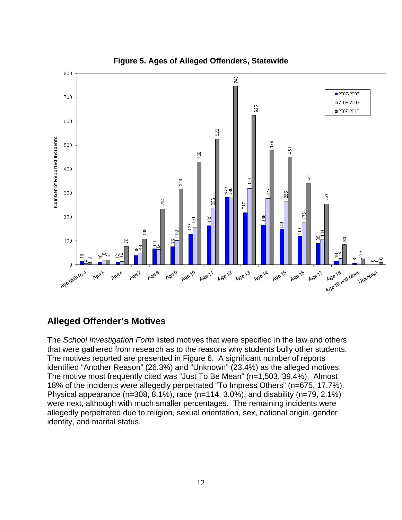

**Figure 5. Ages of Alleged Offenders, Statewide** 

# **Alleged Offender's Motives**

The *School Investigation Form* listed motives that were specified in the law and others that were gathered from research as to the reasons why students bully other students. The motives reported are presented in Figure 6. A significant number of reports identified "Another Reason" (26.3%) and "Unknown" (23.4%) as the alleged motives. The motive most frequently cited was "Just To Be Mean" (n=1,503, 39.4%). Almost 18% of the incidents were allegedly perpetrated "To Impress Others" (n=675, 17.7%). Physical appearance (n=308, 8.1%), race (n=114, 3.0%), and disability (n=79, 2.1%) were next, although with much smaller percentages. The remaining incidents were allegedly perpetrated due to religion, sexual orientation, sex, national origin, gender identity, and marital status.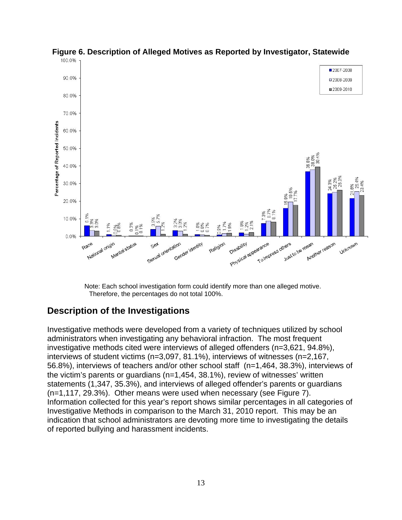

**Figure 6. Description of Alleged Motives as Reported by Investigator, Statewide** 

Note: Each school investigation form could identify more than one alleged motive. Therefore, the percentages do not total 100%.

### **Description of the Investigations**

Investigative methods were developed from a variety of techniques utilized by school administrators when investigating any behavioral infraction. The most frequent investigative methods cited were interviews of alleged offenders (n=3,621, 94.8%), interviews of student victims (n=3,097, 81.1%), interviews of witnesses (n=2,167, 56.8%), interviews of teachers and/or other school staff (n=1,464, 38.3%), interviews of the victim's parents or guardians (n=1,454, 38.1%), review of witnesses' written statements (1,347, 35.3%), and interviews of alleged offender's parents or guardians (n=1,117, 29.3%). Other means were used when necessary (see Figure 7). Information collected for this year's report shows similar percentages in all categories of Investigative Methods in comparison to the March 31, 2010 report. This may be an indication that school administrators are devoting more time to investigating the details of reported bullying and harassment incidents.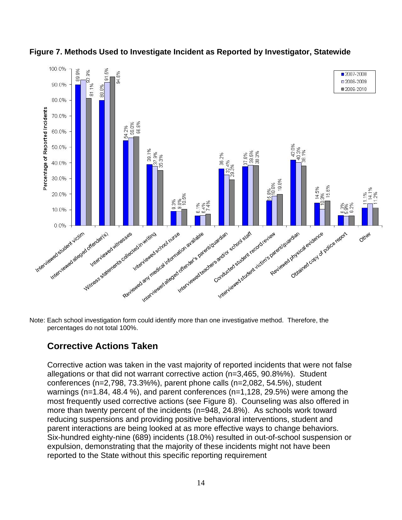

**Figure 7. Methods Used to Investigate Incident as Reported by Investigator, Statewide** 

Note: Each school investigation form could identify more than one investigative method. Therefore, the percentages do not total 100%.

# **Corrective Actions Taken**

Corrective action was taken in the vast majority of reported incidents that were not false allegations or that did not warrant corrective action (n=3,465, 90.8%%). Student conferences (n=2,798, 73.3%%), parent phone calls (n=2,082, 54.5%), student warnings (n=1.84, 48.4 %), and parent conferences (n=1,128, 29.5%) were among the most frequently used corrective actions (see Figure 8). Counseling was also offered in more than twenty percent of the incidents (n=948, 24.8%). As schools work toward reducing suspensions and providing positive behavioral interventions, student and parent interactions are being looked at as more effective ways to change behaviors. Six-hundred eighty-nine (689) incidents (18.0%) resulted in out-of-school suspension or expulsion, demonstrating that the majority of these incidents might not have been reported to the State without this specific reporting requirement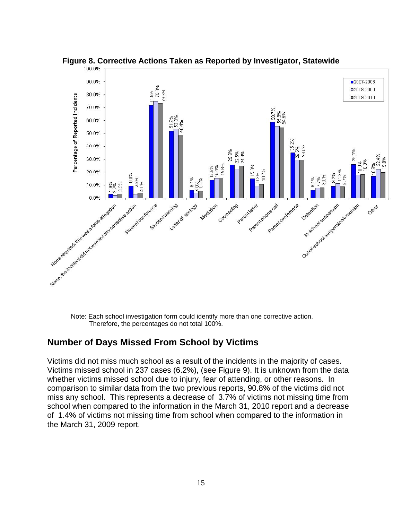

**Figure 8. Corrective Actions Taken as Reported by Investigator, Statewide** 

Note: Each school investigation form could identify more than one corrective action. Therefore, the percentages do not total 100%.

### **Number of Days Missed From School by Victims**

Victims did not miss much school as a result of the incidents in the majority of cases. Victims missed school in 237 cases (6.2%), (see Figure 9). It is unknown from the data whether victims missed school due to injury, fear of attending, or other reasons. In comparison to similar data from the two previous reports, 90.8% of the victims did not miss any school. This represents a decrease of 3.7% of victims not missing time from school when compared to the information in the March 31, 2010 report and a decrease of 1.4% of victims not missing time from school when compared to the information in the March 31, 2009 report.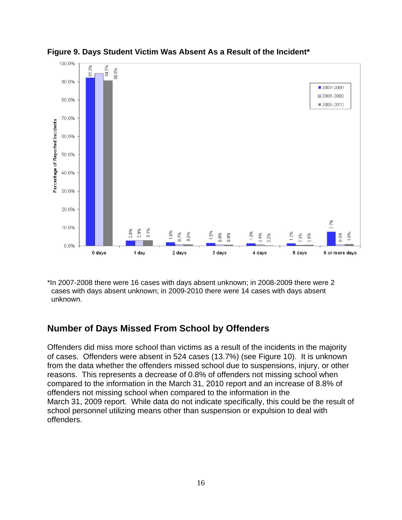

**Figure 9. Days Student Victim Was Absent As a Result of the Incident\*** 

\*In 2007-2008 there were 16 cases with days absent unknown; in 2008-2009 there were 2 cases with days absent unknown; in 2009-2010 there were 14 cases with days absent unknown.

# **Number of Days Missed From School by Offenders**

Offenders did miss more school than victims as a result of the incidents in the majority of cases. Offenders were absent in 524 cases (13.7%) (see Figure 10). It is unknown from the data whether the offenders missed school due to suspensions, injury, or other reasons. This represents a decrease of 0.8% of offenders not missing school when compared to the information in the March 31, 2010 report and an increase of 8.8% of offenders not missing school when compared to the information in the March 31, 2009 report. While data do not indicate specifically, this could be the result of school personnel utilizing means other than suspension or expulsion to deal with offenders.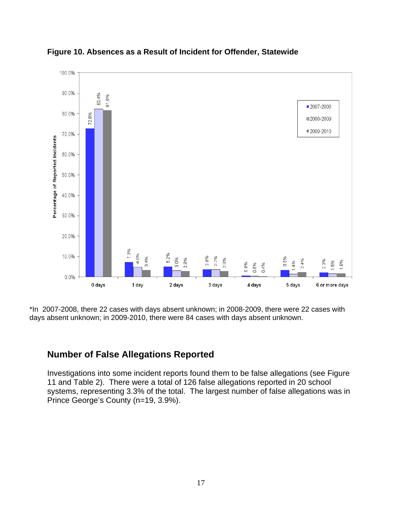

**Figure 10. Absences as a Result of Incident for Offender, Statewide** 

\*In 2007-2008, there 22 cases with days absent unknown; in 2008-2009, there were 22 cases with days absent unknown; in 2009-2010, there were 84 cases with days absent unknown.

#### **Number of False Allegations Reported**

Investigations into some incident reports found them to be false allegations (see Figure 11 and Table 2). There were a total of 126 false allegations reported in 20 school systems, representing 3.3% of the total. The largest number of false allegations was in Prince George's County (n=19, 3.9%).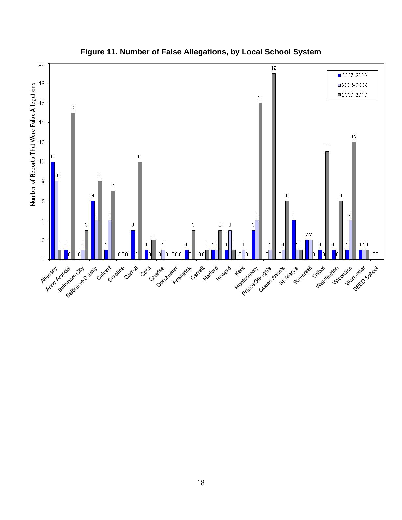

**Figure 11. Number of False Allegations, by Local School System**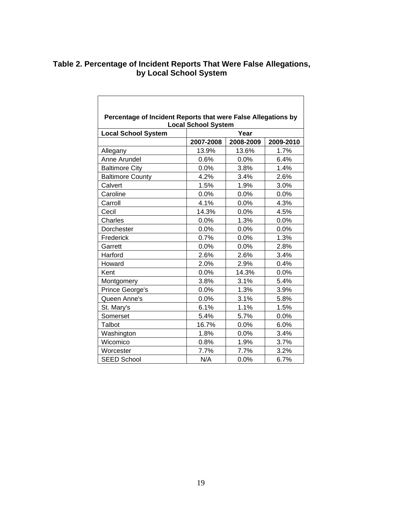#### **Table 2. Percentage of Incident Reports That Were False Allegations, by Local School System**

| Percentage of Incident Reports that were False Allegations by |                            |           |           |  |
|---------------------------------------------------------------|----------------------------|-----------|-----------|--|
|                                                               | <b>Local School System</b> |           |           |  |
| <b>Local School System</b>                                    |                            | Year      |           |  |
|                                                               | 2007-2008                  | 2008-2009 | 2009-2010 |  |
| Allegany                                                      | 13.9%                      | 13.6%     | 1.7%      |  |
| Anne Arundel                                                  | 0.6%                       | 0.0%      | 6.4%      |  |
| <b>Baltimore City</b>                                         | 0.0%                       | 3.8%      | 1.4%      |  |
| <b>Baltimore County</b>                                       | 4.2%                       | 3.4%      | 2.6%      |  |
| Calvert                                                       | 1.5%                       | 1.9%      | 3.0%      |  |
| Caroline                                                      | 0.0%                       | 0.0%      | 0.0%      |  |
| Carroll                                                       | 4.1%                       | 0.0%      | 4.3%      |  |
| Cecil                                                         | 14.3%                      | 0.0%      | 4.5%      |  |
| Charles                                                       | $0.0\%$                    | 1.3%      | $0.0\%$   |  |
| Dorchester                                                    | 0.0%                       | 0.0%      | 0.0%      |  |
| Frederick                                                     | 0.7%                       | 0.0%      | 1.3%      |  |
| Garrett                                                       | 0.0%                       | 0.0%      | 2.8%      |  |
| Harford                                                       | 2.6%                       | 2.6%      | 3.4%      |  |
| Howard                                                        | 2.0%                       | 2.9%      | 0.4%      |  |
| Kent                                                          | 0.0%                       | 14.3%     | 0.0%      |  |
| Montgomery                                                    | 3.8%                       | 3.1%      | 5.4%      |  |
| Prince George's                                               | 0.0%                       | 1.3%      | 3.9%      |  |
| Queen Anne's                                                  | 0.0%                       | 3.1%      | 5.8%      |  |
| St. Mary's                                                    | 6.1%                       | 1.1%      | 1.5%      |  |
| Somerset                                                      | 5.4%                       | 5.7%      | 0.0%      |  |
| Talbot                                                        | 16.7%                      | 0.0%      | 6.0%      |  |
| Washington                                                    | 1.8%                       | 0.0%      | 3.4%      |  |
| Wicomico                                                      | 0.8%                       | 1.9%      | 3.7%      |  |
| Worcester                                                     | 7.7%                       | 7.7%      | 3.2%      |  |
| <b>SEED School</b>                                            | N/A                        | 0.0%      | 6.7%      |  |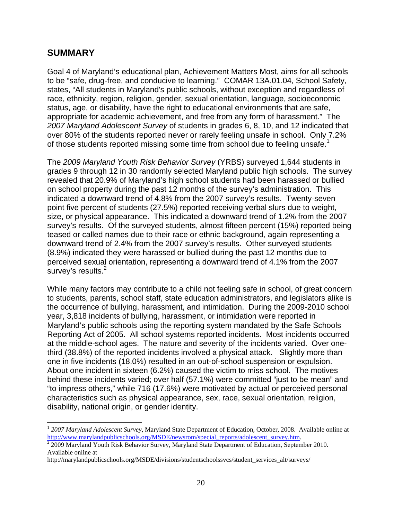### **SUMMARY**

1

Goal 4 of Maryland's educational plan, Achievement Matters Most, aims for all schools to be "safe, drug-free, and conducive to learning." COMAR 13A.01.04, School Safety, states, "All students in Maryland's public schools, without exception and regardless of race, ethnicity, region, religion, gender, sexual orientation, language, socioeconomic status, age, or disability, have the right to educational environments that are safe, appropriate for academic achievement, and free from any form of harassment." The *2007 Maryland Adolescent Survey* of students in grades 6, 8, 10, and 12 indicated that over 80% of the students reported never or rarely feeling unsafe in school. Only 7.2% of those students reported missing some time from school due to feeling unsafe.<sup>1</sup>

The *2009 Maryland Youth Risk Behavior Survey* (YRBS) surveyed 1,644 students in grades 9 through 12 in 30 randomly selected Maryland public high schools. The survey revealed that 20.9% of Maryland's high school students had been harassed or bullied on school property during the past 12 months of the survey's administration. This indicated a downward trend of 4.8% from the 2007 survey's results. Twenty-seven point five percent of students (27.5%) reported receiving verbal slurs due to weight, size, or physical appearance. This indicated a downward trend of 1.2% from the 2007 survey's results. Of the surveyed students, almost fifteen percent (15%) reported being teased or called names due to their race or ethnic background, again representing a downward trend of 2.4% from the 2007 survey's results. Other surveyed students (8.9%) indicated they were harassed or bullied during the past 12 months due to perceived sexual orientation, representing a downward trend of 4.1% from the 2007 survey's results.<sup>2</sup>

While many factors may contribute to a child not feeling safe in school, of great concern to students, parents, school staff, state education administrators, and legislators alike is the occurrence of bullying, harassment, and intimidation. During the 2009-2010 school year, 3,818 incidents of bullying, harassment, or intimidation were reported in Maryland's public schools using the reporting system mandated by the Safe Schools Reporting Act of 2005. All school systems reported incidents. Most incidents occurred at the middle-school ages. The nature and severity of the incidents varied. Over onethird (38.8%) of the reported incidents involved a physical attack. Slightly more than one in five incidents (18.0%) resulted in an out-of-school suspension or expulsion. About one incident in sixteen (6.2%) caused the victim to miss school. The motives behind these incidents varied; over half (57.1%) were committed "just to be mean" and "to impress others," while 716 (17.6%) were motivated by actual or perceived personal characteristics such as physical appearance, sex, race, sexual orientation, religion, disability, national origin, or gender identity.

<sup>1</sup> *2007 Maryland Adolescent Survey*, Maryland State Department of Education, October, 2008. Available online at http://www.marylandpublicschools.org/MSDE/newsrom/special\_reports/adolescent\_survey.htm.

 $2\overline{2}$  2009 Maryland Youth Risk Behavior Survey, Maryland State Department of Education, September 2010. Available online at

http://marylandpublicschools.org/MSDE/divisions/studentschoolssvcs/student\_services\_alt/surveys/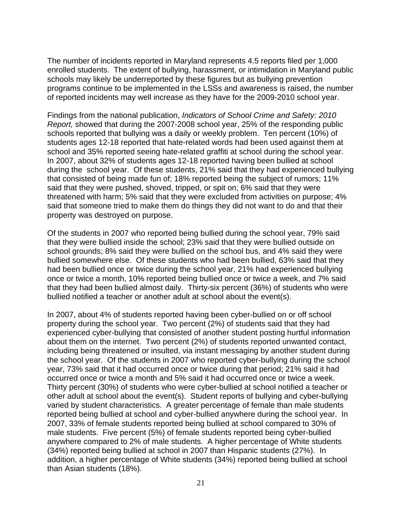The number of incidents reported in Maryland represents 4.5 reports filed per 1,000 enrolled students. The extent of bullying, harassment, or intimidation in Maryland public schools may likely be underreported by these figures but as bullying prevention programs continue to be implemented in the LSSs and awareness is raised, the number of reported incidents may well increase as they have for the 2009-2010 school year.

Findings from the national publication, *Indicators of School Crime and Safety: 2010 Report,* showed that during the 2007-2008 school year, 25% of the responding public schools reported that bullying was a daily or weekly problem. Ten percent (10%) of students ages 12-18 reported that hate-related words had been used against them at school and 35% reported seeing hate-related graffiti at school during the school year. In 2007, about 32% of students ages 12-18 reported having been bullied at school during the school year. Of these students, 21% said that they had experienced bullying that consisted of being made fun of; 18% reported being the subject of rumors; 11% said that they were pushed, shoved, tripped, or spit on; 6% said that they were threatened with harm; 5% said that they were excluded from activities on purpose; 4% said that someone tried to make them do things they did not want to do and that their property was destroyed on purpose.

Of the students in 2007 who reported being bullied during the school year, 79% said that they were bullied inside the school; 23% said that they were bullied outside on school grounds; 8% said they were bullied on the school bus, and 4% said they were bullied somewhere else. Of these students who had been bullied, 63% said that they had been bullied once or twice during the school year, 21% had experienced bullying once or twice a month, 10% reported being bullied once or twice a week, and 7% said that they had been bullied almost daily. Thirty-six percent (36%) of students who were bullied notified a teacher or another adult at school about the event(s).

In 2007, about 4% of students reported having been cyber-bullied on or off school property during the school year. Two percent (2%) of students said that they had experienced cyber-bullying that consisted of another student posting hurtful information about them on the internet. Two percent (2%) of students reported unwanted contact, including being threatened or insulted, via instant messaging by another student during the school year. Of the students in 2007 who reported cyber-bullying during the school year, 73% said that it had occurred once or twice during that period; 21% said it had occurred once or twice a month and 5% said it had occurred once or twice a week. Thirty percent (30%) of students who were cyber-bullied at school notified a teacher or other adult at school about the event(s). Student reports of bullying and cyber-bullying varied by student characteristics. A greater percentage of female than male students reported being bullied at school and cyber-bullied anywhere during the school year. In 2007, 33% of female students reported being bullied at school compared to 30% of male students. Five percent (5%) of female students reported being cyber-bullied anywhere compared to 2% of male students. A higher percentage of White students (34%) reported being bullied at school in 2007 than Hispanic students (27%). In addition, a higher percentage of White students (34%) reported being bullied at school than Asian students (18%).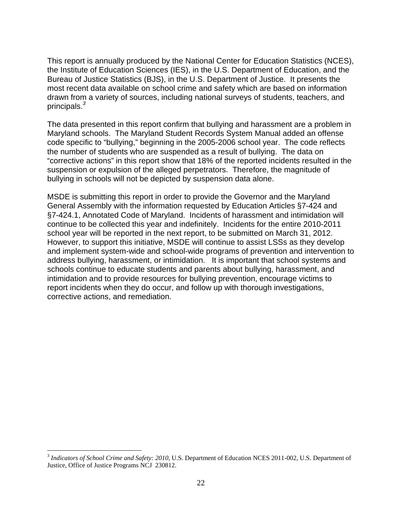This report is annually produced by the National Center for Education Statistics (NCES), the Institute of Education Sciences (IES), in the U.S. Department of Education, and the Bureau of Justice Statistics (BJS), in the U.S. Department of Justice. It presents the most recent data available on school crime and safety which are based on information drawn from a variety of sources, including national surveys of students, teachers, and principals.*<sup>3</sup>* 

The data presented in this report confirm that bullying and harassment are a problem in Maryland schools. The Maryland Student Records System Manual added an offense code specific to "bullying," beginning in the 2005-2006 school year. The code reflects the number of students who are suspended as a result of bullying. The data on "corrective actions" in this report show that 18% of the reported incidents resulted in the suspension or expulsion of the alleged perpetrators. Therefore, the magnitude of bullying in schools will not be depicted by suspension data alone.

MSDE is submitting this report in order to provide the Governor and the Maryland General Assembly with the information requested by Education Articles §7-424 and §7-424.1, Annotated Code of Maryland. Incidents of harassment and intimidation will continue to be collected this year and indefinitely. Incidents for the entire 2010-2011 school year will be reported in the next report, to be submitted on March 31, 2012. However, to support this initiative, MSDE will continue to assist LSSs as they develop and implement system-wide and school-wide programs of prevention and intervention to address bullying, harassment, or intimidation. It is important that school systems and schools continue to educate students and parents about bullying, harassment, and intimidation and to provide resources for bullying prevention, encourage victims to report incidents when they do occur, and follow up with thorough investigations, corrective actions, and remediation.

 $\overline{a}$ 

<sup>3</sup> *Indicators of School Crime and Safety: 2010*, U.S. Department of Education NCES 2011-002, U.S. Department of Justice, Office of Justice Programs NCJ 230812.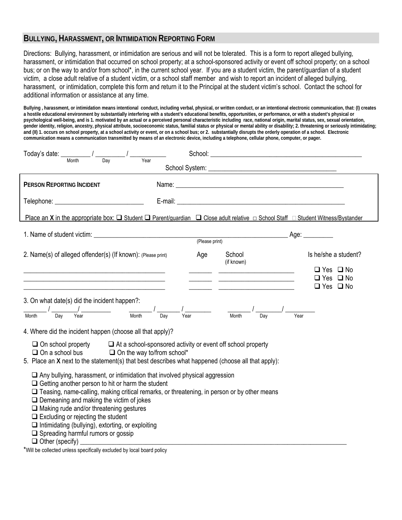#### **BULLYING, HARASSMENT, OR INTIMIDATION REPORTING FORM**

Directions: Bullying, harassment, or intimidation are serious and will not be tolerated. This is a form to report alleged bullying, harassment, or intimidation that occurred on school property; at a school-sponsored activity or event off school property; on a school bus; or on the way to and/or from school\*, in the current school year. If you are a student victim, the parent/guardian of a student victim, a close adult relative of a student victim, or a school staff member and wish to report an incident of alleged bullying, harassment, or intimidation, complete this form and return it to the Principal at the student victim's school. Contact the school for additional information or assistance at any time.

**Bullying , harassment, or intimidation means intentional conduct, including verbal, physical, or written conduct, or an intentional electronic communication, that: (I) creates a hostile educational environment by substantially interfering with a student's educational benefits, opportunities, or performance, or with a student's physical or psychological well-being, and is 1. motivated by an actual or a perceived personal characteristic including race, national origin, marital status, sex, sexual orientation, gender identity, religion, ancestry, physical attribute, socioeconomic status, familial status or physical or mental ability or disability; 2. threatening or seriously intimidating; and (II) 1. occurs on school property, at a school activity or event, or on a school bus; or 2. substantially disrupts the orderly operation of a school. Electronic communication means a communication transmitted by means of an electronic device, including a telephone, cellular phone, computer, or pager.** 

| Today's date:                                                                                                                                                                                                                                                                                                                                                                                                                                                                                              |     |                                                                   |                                                                                              |  |
|------------------------------------------------------------------------------------------------------------------------------------------------------------------------------------------------------------------------------------------------------------------------------------------------------------------------------------------------------------------------------------------------------------------------------------------------------------------------------------------------------------|-----|-------------------------------------------------------------------|----------------------------------------------------------------------------------------------|--|
| Year<br>Month<br>Dav                                                                                                                                                                                                                                                                                                                                                                                                                                                                                       |     |                                                                   |                                                                                              |  |
| PERSON REPORTING INCIDENT<br>Telephone: _________________________________                                                                                                                                                                                                                                                                                                                                                                                                                                  |     |                                                                   |                                                                                              |  |
| Place an X in the appropriate box: $\Box$ Student $\Box$ Parent/guardian $\Box$ Close adult relative $\Box$ School Staff $\Box$ Student Witness/Bystander                                                                                                                                                                                                                                                                                                                                                  |     |                                                                   |                                                                                              |  |
|                                                                                                                                                                                                                                                                                                                                                                                                                                                                                                            |     |                                                                   |                                                                                              |  |
| 2. Name(s) of alleged offender(s) (If known): (Please print)<br><u> 1980 - Johann Barbara, martin amerikan basar dan berasal dalam basa dalam basar dalam basar dalam basar dala</u>                                                                                                                                                                                                                                                                                                                       | Age | School<br>(if known)<br><u> 1989 - Andrea Barbara, poeta espa</u> | Is he/she a student?<br>$\Box$ Yes $\Box$ No<br>$\Box$ Yes $\Box$ No<br>$\Box$ Yes $\Box$ No |  |
| 3. On what date(s) did the incident happen?:<br>Day<br>Dav<br>Year<br>Month                                                                                                                                                                                                                                                                                                                                                                                                                                |     | Month<br>Dav                                                      | Year                                                                                         |  |
| 4. Where did the incident happen (choose all that apply)?<br>$\Box$ On school property $\Box$ At a school-sponsored activity or event off school property<br>$\Box$ On a school bus $\Box$ On the way to/from school*<br>5. Place an X next to the statement(s) that best describes what happened (choose all that apply):                                                                                                                                                                                 |     |                                                                   |                                                                                              |  |
| $\Box$ Any bullying, harassment, or intimidation that involved physical aggression<br>$\Box$ Getting another person to hit or harm the student<br>□ Teasing, name-calling, making critical remarks, or threatening, in person or by other means<br>$\Box$ Demeaning and making the victim of jokes<br>$\Box$ Making rude and/or threatening gestures<br>$\Box$ Excluding or rejecting the student<br>$\Box$ Intimidating (bullying), extorting, or exploiting<br>$\Box$ Spreading harmful rumors or gossip |     |                                                                   |                                                                                              |  |

\*Will be collected unless specifically excluded by local board policy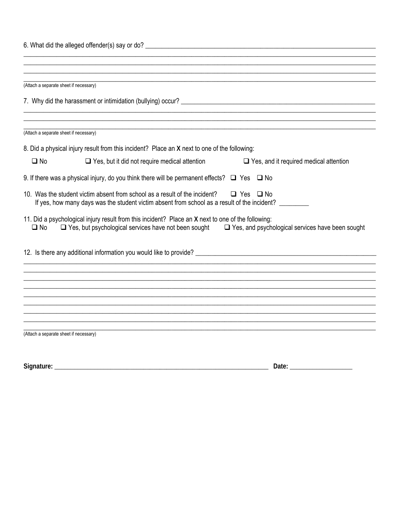| 6. What did the alleged offender(s) say or do?                                                                                                                                                                                            |
|-------------------------------------------------------------------------------------------------------------------------------------------------------------------------------------------------------------------------------------------|
|                                                                                                                                                                                                                                           |
|                                                                                                                                                                                                                                           |
| (Attach a separate sheet if necessary)                                                                                                                                                                                                    |
|                                                                                                                                                                                                                                           |
| (Attach a separate sheet if necessary)                                                                                                                                                                                                    |
| 8. Did a physical injury result from this incident? Place an X next to one of the following:                                                                                                                                              |
| $\square$ No<br>$\Box$ Yes, but it did not require medical attention<br>$\Box$ Yes, and it required medical attention                                                                                                                     |
| 9. If there was a physical injury, do you think there will be permanent effects? $\Box$ Yes $\Box$ No                                                                                                                                     |
| 10. Was the student victim absent from school as a result of the incident?<br>$\Box$ Yes $\Box$ No<br>If yes, how many days was the student victim absent from school as a result of the incident? ______                                 |
| 11. Did a psychological injury result from this incident? Place an X next to one of the following:<br>$\Box$ Yes, but psychological services have not been sought $\Box$ Yes, and psychological services have been sought<br>$\square$ No |
|                                                                                                                                                                                                                                           |
|                                                                                                                                                                                                                                           |
|                                                                                                                                                                                                                                           |
|                                                                                                                                                                                                                                           |
|                                                                                                                                                                                                                                           |
|                                                                                                                                                                                                                                           |
|                                                                                                                                                                                                                                           |
| (Attach a separate sheet if necessary)                                                                                                                                                                                                    |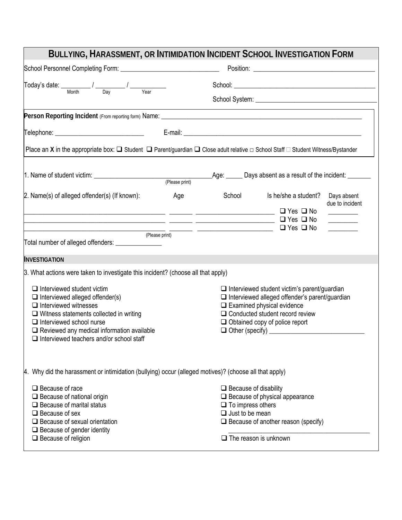| BULLYING, HARASSMENT, OR INTIMIDATION INCIDENT SCHOOL INVESTIGATION FORM                                                                                                                                                                                                                                 |     |                                                                                    |                                                                                                                                                                                                                                      |                                                                                                                                                                                                                                                                                                      |
|----------------------------------------------------------------------------------------------------------------------------------------------------------------------------------------------------------------------------------------------------------------------------------------------------------|-----|------------------------------------------------------------------------------------|--------------------------------------------------------------------------------------------------------------------------------------------------------------------------------------------------------------------------------------|------------------------------------------------------------------------------------------------------------------------------------------------------------------------------------------------------------------------------------------------------------------------------------------------------|
|                                                                                                                                                                                                                                                                                                          |     |                                                                                    |                                                                                                                                                                                                                                      |                                                                                                                                                                                                                                                                                                      |
| $\boxed{\text{Today's date:}\n \underline{\hspace{2cm}}\hspace{2cm}\qquad \qquad \hspace{2cm}\qquad \qquad / \underline{\hspace{2cm}}\hspace{2cm}\qquad \qquad \qquad \hspace{2cm}\qquad \qquad }$                                                                                                       |     |                                                                                    |                                                                                                                                                                                                                                      |                                                                                                                                                                                                                                                                                                      |
|                                                                                                                                                                                                                                                                                                          |     |                                                                                    |                                                                                                                                                                                                                                      |                                                                                                                                                                                                                                                                                                      |
|                                                                                                                                                                                                                                                                                                          |     |                                                                                    | the control of the control of the control of the control of the control of the control of                                                                                                                                            |                                                                                                                                                                                                                                                                                                      |
| Telephone: __________________________________                                                                                                                                                                                                                                                            |     |                                                                                    |                                                                                                                                                                                                                                      |                                                                                                                                                                                                                                                                                                      |
| Place an X in the appropriate box: $\Box$ Student $\Box$ Parent/guardian $\Box$ Close adult relative $\Box$ School Staff $\Box$ Student Witness/Bystander                                                                                                                                                |     |                                                                                    |                                                                                                                                                                                                                                      |                                                                                                                                                                                                                                                                                                      |
|                                                                                                                                                                                                                                                                                                          |     |                                                                                    |                                                                                                                                                                                                                                      |                                                                                                                                                                                                                                                                                                      |
| 2. Name(s) of alleged offender(s) (If known):                                                                                                                                                                                                                                                            | Age | School                                                                             | Is he/she a student?                                                                                                                                                                                                                 | Days absent<br>due to incident                                                                                                                                                                                                                                                                       |
| □ Yes □ No                                                                                                                                                                                                                                                                                               |     | (Please print)                                                                     | $\Box$ Yes $\Box$ No                                                                                                                                                                                                                 | $\sim$ $\sim$ $\sim$ $\sim$ $\sim$<br><u> The Common State State State State State State State State State State State State State State State State State State State State State State State State State State State State State State State State State State State</u><br><u> Alban Maria Sa</u> |
| Total number of alleged offenders: _______________                                                                                                                                                                                                                                                       |     |                                                                                    |                                                                                                                                                                                                                                      |                                                                                                                                                                                                                                                                                                      |
| <b>INVESTIGATION</b>                                                                                                                                                                                                                                                                                     |     |                                                                                    |                                                                                                                                                                                                                                      |                                                                                                                                                                                                                                                                                                      |
| 3. What actions were taken to investigate this incident? (choose all that apply)                                                                                                                                                                                                                         |     |                                                                                    |                                                                                                                                                                                                                                      |                                                                                                                                                                                                                                                                                                      |
| $\Box$ Interviewed student victim<br>$\Box$ Interviewed alleged offender(s)<br>$\Box$ Interviewed witnesses<br>$\Box$ Witness statements collected in writing<br>$\Box$ Interviewed school nurse<br>$\Box$ Reviewed any medical information available<br>$\Box$ Interviewed teachers and/or school staff |     |                                                                                    | $\Box$ Interviewed student victim's parent/guardian<br>$\Box$ Interviewed alleged offender's parent/guardian<br>$\Box$ Examined physical evidence<br>$\Box$ Conducted student record review<br>$\Box$ Obtained copy of police report |                                                                                                                                                                                                                                                                                                      |
| 4. Why did the harassment or intimidation (bullying) occur (alleged motives)? (choose all that apply)<br>$\Box$ Because of race<br>$\Box$ Because of national origin<br>$\Box$ Because of marital status<br>$\Box$ Because of sex                                                                        |     | $\Box$ Because of disability<br>$\Box$ To impress others<br>$\Box$ Just to be mean | $\Box$ Because of physical appearance                                                                                                                                                                                                |                                                                                                                                                                                                                                                                                                      |
| $\Box$ Because of sexual orientation<br>$\Box$ Because of gender identity<br>$\Box$ Because of religion                                                                                                                                                                                                  |     | $\Box$ The reason is unknown                                                       | $\Box$ Because of another reason (specify)                                                                                                                                                                                           |                                                                                                                                                                                                                                                                                                      |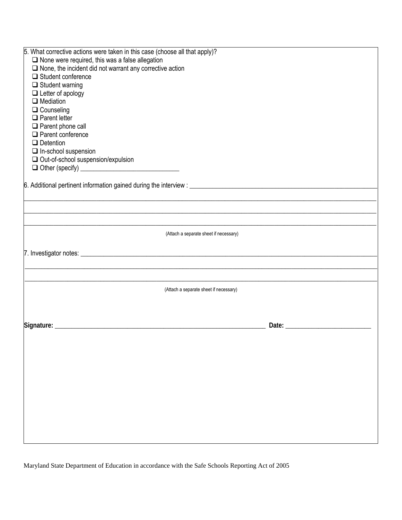| 5. What corrective actions were taken in this case (choose all that apply)? |       |
|-----------------------------------------------------------------------------|-------|
| $\square$ None were required, this was a false allegation                   |       |
| $\Box$ None, the incident did not warrant any corrective action             |       |
| $\Box$ Student conference                                                   |       |
| $\Box$ Student warning                                                      |       |
| $\Box$ Letter of apology                                                    |       |
| $\Box$ Mediation                                                            |       |
| $\Box$ Counseling                                                           |       |
| $\Box$ Parent letter                                                        |       |
| $\Box$ Parent phone call                                                    |       |
| $\Box$ Parent conference                                                    |       |
| $\Box$ Detention                                                            |       |
| $\Box$ In-school suspension                                                 |       |
| □ Out-of-school suspension/expulsion                                        |       |
|                                                                             |       |
|                                                                             |       |
|                                                                             |       |
|                                                                             |       |
|                                                                             |       |
|                                                                             |       |
|                                                                             |       |
| (Attach a separate sheet if necessary)                                      |       |
|                                                                             |       |
|                                                                             |       |
|                                                                             |       |
|                                                                             |       |
| (Attach a separate sheet if necessary)                                      |       |
|                                                                             |       |
|                                                                             |       |
|                                                                             |       |
| Signature: __________                                                       | Date: |
|                                                                             |       |
|                                                                             |       |
|                                                                             |       |
|                                                                             |       |
|                                                                             |       |
|                                                                             |       |
|                                                                             |       |
|                                                                             |       |
|                                                                             |       |
|                                                                             |       |
|                                                                             |       |
|                                                                             |       |
|                                                                             |       |
|                                                                             |       |

Maryland State Department of Education in accordance with the Safe Schools Reporting Act of 2005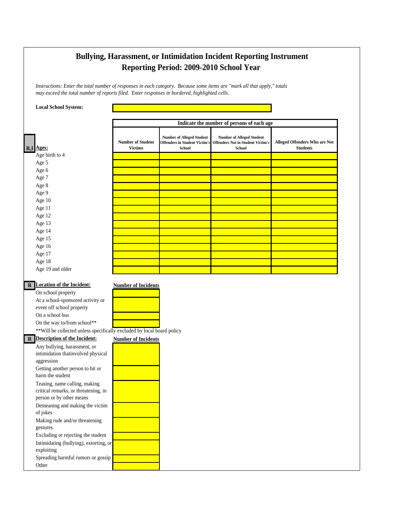# **Bullying, Harassment, or Intimidation Incident Reporting Instrument Reporting Period: 2009-2010 School Year**

*Instructions: Enter the total number of responses in each category. Because some items are "mark all that apply," totals may exceed the total number of reports filed. Enter responses in bordered, highlighted cells.*

| <b>Local School System:</b>                                             |                                            |                                                                                           |                                                                                               |                                                  |
|-------------------------------------------------------------------------|--------------------------------------------|-------------------------------------------------------------------------------------------|-----------------------------------------------------------------------------------------------|--------------------------------------------------|
|                                                                         |                                            |                                                                                           | Indicate the number of persons of each age                                                    |                                                  |
| R,I Ages:                                                               | <b>Number of Student</b><br><b>Victims</b> | <b>Number of Alleged Student</b><br><b>Offenders in Student Victim's</b><br><b>School</b> | <b>Number of Alleged Student</b><br><b>Offenders Not in Student Victim's</b><br><b>School</b> | Alleged Offenders Who are Not<br><b>Students</b> |
| Age birth to 4                                                          |                                            |                                                                                           |                                                                                               |                                                  |
| Age 5                                                                   |                                            |                                                                                           |                                                                                               |                                                  |
| Age 6                                                                   |                                            |                                                                                           |                                                                                               |                                                  |
| Age 7                                                                   |                                            |                                                                                           |                                                                                               |                                                  |
| Age 8                                                                   |                                            |                                                                                           |                                                                                               |                                                  |
| Age 9                                                                   |                                            |                                                                                           |                                                                                               |                                                  |
| Age 10                                                                  |                                            |                                                                                           |                                                                                               |                                                  |
| Age 11                                                                  |                                            |                                                                                           |                                                                                               |                                                  |
| Age 12                                                                  |                                            |                                                                                           |                                                                                               |                                                  |
| Age 13                                                                  |                                            |                                                                                           |                                                                                               |                                                  |
| Age 14<br>Age 15                                                        |                                            |                                                                                           |                                                                                               |                                                  |
| Age 16                                                                  |                                            |                                                                                           |                                                                                               |                                                  |
| Age 17                                                                  |                                            |                                                                                           |                                                                                               |                                                  |
| Age 18                                                                  |                                            |                                                                                           |                                                                                               |                                                  |
| Age 19 and older                                                        |                                            |                                                                                           |                                                                                               |                                                  |
|                                                                         |                                            |                                                                                           |                                                                                               |                                                  |
| <b>R</b> Location of the Incident:                                      | <b>Number of Incidents</b>                 |                                                                                           |                                                                                               |                                                  |
| On school property                                                      |                                            |                                                                                           |                                                                                               |                                                  |
| At a school-sponsored activity or                                       |                                            |                                                                                           |                                                                                               |                                                  |
| event off school property                                               |                                            |                                                                                           |                                                                                               |                                                  |
| On a school bus                                                         |                                            |                                                                                           |                                                                                               |                                                  |
| On the way to/from school**                                             |                                            |                                                                                           |                                                                                               |                                                  |
| ** Will be collected unless specifically excluded by local board policy |                                            |                                                                                           |                                                                                               |                                                  |
| R Description of the Incident:                                          | <b>Number of Incidents</b>                 |                                                                                           |                                                                                               |                                                  |
| Any bullying, harassment, or                                            |                                            |                                                                                           |                                                                                               |                                                  |
| intimidation that<br>involved physical                                  |                                            |                                                                                           |                                                                                               |                                                  |
| aggression                                                              |                                            |                                                                                           |                                                                                               |                                                  |
| Getting another person to hit or                                        |                                            |                                                                                           |                                                                                               |                                                  |
| harm the student                                                        |                                            |                                                                                           |                                                                                               |                                                  |
| Teasing, name calling, making                                           |                                            |                                                                                           |                                                                                               |                                                  |
| critical remarks, or threatening, in                                    |                                            |                                                                                           |                                                                                               |                                                  |
| person or by other means                                                |                                            |                                                                                           |                                                                                               |                                                  |
| Demeaning and making the victim                                         |                                            |                                                                                           |                                                                                               |                                                  |
| of jokes                                                                |                                            |                                                                                           |                                                                                               |                                                  |
| Making rude and/or threatening<br>gestures.                             |                                            |                                                                                           |                                                                                               |                                                  |
| Excluding or rejecting the student                                      |                                            |                                                                                           |                                                                                               |                                                  |
| Intimidating (bullying), extorting, or                                  |                                            |                                                                                           |                                                                                               |                                                  |
| exploiting                                                              |                                            |                                                                                           |                                                                                               |                                                  |
| Spreading harmful rumors or gossip                                      |                                            |                                                                                           |                                                                                               |                                                  |
| Other                                                                   |                                            |                                                                                           |                                                                                               |                                                  |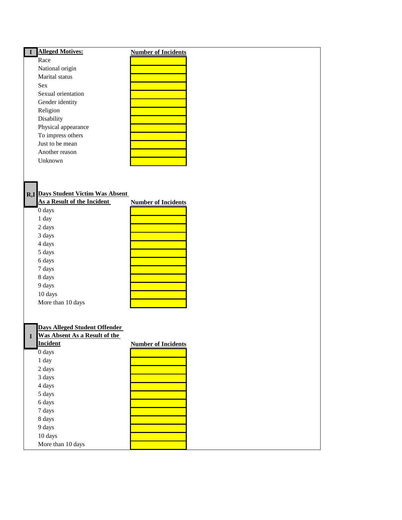| <b>Alleged Motives:</b>                   | <b>Number of Incidents</b> |
|-------------------------------------------|----------------------------|
| Race                                      |                            |
| National origin                           |                            |
| Marital status                            |                            |
| Sex                                       |                            |
| Sexual orientation                        |                            |
| Gender identity                           |                            |
| Religion                                  |                            |
| Disability                                |                            |
| Physical appearance                       |                            |
| To impress others                         |                            |
| Just to be mean                           |                            |
| Another reason                            |                            |
| Unknown                                   |                            |
|                                           |                            |
|                                           |                            |
|                                           |                            |
| <b>R,I</b> Days Student Victim Was Absent |                            |
| As a Result of the Incident               | <b>Number of Incidents</b> |
| 0 days                                    |                            |
| 1 day                                     |                            |
| 2 days                                    |                            |
|                                           |                            |
| 3 days                                    |                            |
| 4 days                                    |                            |
| 5 days                                    |                            |
| 6 days                                    |                            |
| 7 days                                    |                            |
| 8 days                                    |                            |
| 9 days                                    |                            |
| 10 days                                   |                            |
| More than 10 days                         |                            |
|                                           |                            |
|                                           |                            |
| <b>Days Alleged Student Offender</b>      |                            |
| <b>Was Absent As a Result of the</b><br>I |                            |
| <b>Incident</b>                           | <b>Number of Incidents</b> |
| 0 days                                    |                            |
| 1 day                                     |                            |
| 2 days                                    |                            |
| 3 days                                    |                            |
| 4 days                                    |                            |
| 5 days                                    |                            |
| 6 days                                    |                            |
| 7 days                                    |                            |
| 8 days                                    |                            |
| 9 days                                    |                            |
| 10 days                                   |                            |

More than 10 days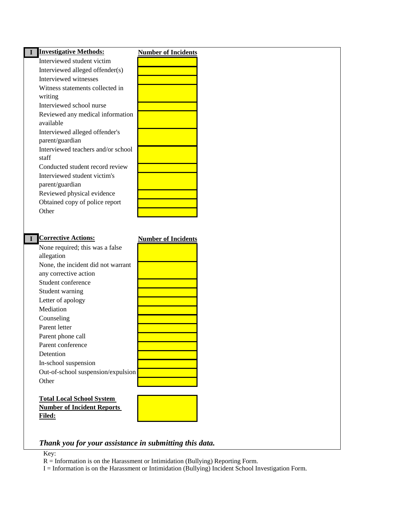| Interviewed student victim<br>Interviewed alleged offender(s)<br>Interviewed witnesses<br>Witness statements collected in<br>writing<br>Interviewed school nurse<br>Reviewed any medical information<br>available<br>Interviewed alleged offender's<br>parent/guardian<br>Interviewed teachers and/or school<br>staff<br>Conducted student record review<br>Interviewed student victim's<br>parent/guardian<br>Reviewed physical evidence<br>Obtained copy of police report<br>Other<br><b>Corrective Actions:</b><br><b>Number of Incidents</b><br>None required; this was a false<br>allegation<br>None, the incident did not warrant<br>any corrective action<br>Student conference<br>Student warning<br>Letter of apology<br>Mediation<br>Counseling<br>Parent letter<br>Parent phone call<br>Parent conference<br>Detention<br>In-school suspension<br>Out-of-school suspension/expulsion<br>Other |  |
|----------------------------------------------------------------------------------------------------------------------------------------------------------------------------------------------------------------------------------------------------------------------------------------------------------------------------------------------------------------------------------------------------------------------------------------------------------------------------------------------------------------------------------------------------------------------------------------------------------------------------------------------------------------------------------------------------------------------------------------------------------------------------------------------------------------------------------------------------------------------------------------------------------|--|
|                                                                                                                                                                                                                                                                                                                                                                                                                                                                                                                                                                                                                                                                                                                                                                                                                                                                                                          |  |
|                                                                                                                                                                                                                                                                                                                                                                                                                                                                                                                                                                                                                                                                                                                                                                                                                                                                                                          |  |
|                                                                                                                                                                                                                                                                                                                                                                                                                                                                                                                                                                                                                                                                                                                                                                                                                                                                                                          |  |
|                                                                                                                                                                                                                                                                                                                                                                                                                                                                                                                                                                                                                                                                                                                                                                                                                                                                                                          |  |
|                                                                                                                                                                                                                                                                                                                                                                                                                                                                                                                                                                                                                                                                                                                                                                                                                                                                                                          |  |
|                                                                                                                                                                                                                                                                                                                                                                                                                                                                                                                                                                                                                                                                                                                                                                                                                                                                                                          |  |
|                                                                                                                                                                                                                                                                                                                                                                                                                                                                                                                                                                                                                                                                                                                                                                                                                                                                                                          |  |
|                                                                                                                                                                                                                                                                                                                                                                                                                                                                                                                                                                                                                                                                                                                                                                                                                                                                                                          |  |
|                                                                                                                                                                                                                                                                                                                                                                                                                                                                                                                                                                                                                                                                                                                                                                                                                                                                                                          |  |
|                                                                                                                                                                                                                                                                                                                                                                                                                                                                                                                                                                                                                                                                                                                                                                                                                                                                                                          |  |
|                                                                                                                                                                                                                                                                                                                                                                                                                                                                                                                                                                                                                                                                                                                                                                                                                                                                                                          |  |
|                                                                                                                                                                                                                                                                                                                                                                                                                                                                                                                                                                                                                                                                                                                                                                                                                                                                                                          |  |
|                                                                                                                                                                                                                                                                                                                                                                                                                                                                                                                                                                                                                                                                                                                                                                                                                                                                                                          |  |
|                                                                                                                                                                                                                                                                                                                                                                                                                                                                                                                                                                                                                                                                                                                                                                                                                                                                                                          |  |
|                                                                                                                                                                                                                                                                                                                                                                                                                                                                                                                                                                                                                                                                                                                                                                                                                                                                                                          |  |
|                                                                                                                                                                                                                                                                                                                                                                                                                                                                                                                                                                                                                                                                                                                                                                                                                                                                                                          |  |
|                                                                                                                                                                                                                                                                                                                                                                                                                                                                                                                                                                                                                                                                                                                                                                                                                                                                                                          |  |
|                                                                                                                                                                                                                                                                                                                                                                                                                                                                                                                                                                                                                                                                                                                                                                                                                                                                                                          |  |
|                                                                                                                                                                                                                                                                                                                                                                                                                                                                                                                                                                                                                                                                                                                                                                                                                                                                                                          |  |
|                                                                                                                                                                                                                                                                                                                                                                                                                                                                                                                                                                                                                                                                                                                                                                                                                                                                                                          |  |
|                                                                                                                                                                                                                                                                                                                                                                                                                                                                                                                                                                                                                                                                                                                                                                                                                                                                                                          |  |
|                                                                                                                                                                                                                                                                                                                                                                                                                                                                                                                                                                                                                                                                                                                                                                                                                                                                                                          |  |
|                                                                                                                                                                                                                                                                                                                                                                                                                                                                                                                                                                                                                                                                                                                                                                                                                                                                                                          |  |
|                                                                                                                                                                                                                                                                                                                                                                                                                                                                                                                                                                                                                                                                                                                                                                                                                                                                                                          |  |
|                                                                                                                                                                                                                                                                                                                                                                                                                                                                                                                                                                                                                                                                                                                                                                                                                                                                                                          |  |
|                                                                                                                                                                                                                                                                                                                                                                                                                                                                                                                                                                                                                                                                                                                                                                                                                                                                                                          |  |
|                                                                                                                                                                                                                                                                                                                                                                                                                                                                                                                                                                                                                                                                                                                                                                                                                                                                                                          |  |
|                                                                                                                                                                                                                                                                                                                                                                                                                                                                                                                                                                                                                                                                                                                                                                                                                                                                                                          |  |
|                                                                                                                                                                                                                                                                                                                                                                                                                                                                                                                                                                                                                                                                                                                                                                                                                                                                                                          |  |
|                                                                                                                                                                                                                                                                                                                                                                                                                                                                                                                                                                                                                                                                                                                                                                                                                                                                                                          |  |
|                                                                                                                                                                                                                                                                                                                                                                                                                                                                                                                                                                                                                                                                                                                                                                                                                                                                                                          |  |
|                                                                                                                                                                                                                                                                                                                                                                                                                                                                                                                                                                                                                                                                                                                                                                                                                                                                                                          |  |
|                                                                                                                                                                                                                                                                                                                                                                                                                                                                                                                                                                                                                                                                                                                                                                                                                                                                                                          |  |
|                                                                                                                                                                                                                                                                                                                                                                                                                                                                                                                                                                                                                                                                                                                                                                                                                                                                                                          |  |
|                                                                                                                                                                                                                                                                                                                                                                                                                                                                                                                                                                                                                                                                                                                                                                                                                                                                                                          |  |
|                                                                                                                                                                                                                                                                                                                                                                                                                                                                                                                                                                                                                                                                                                                                                                                                                                                                                                          |  |
|                                                                                                                                                                                                                                                                                                                                                                                                                                                                                                                                                                                                                                                                                                                                                                                                                                                                                                          |  |
|                                                                                                                                                                                                                                                                                                                                                                                                                                                                                                                                                                                                                                                                                                                                                                                                                                                                                                          |  |
| <b>Total Local School System</b><br><b>Number of Incident Reports</b>                                                                                                                                                                                                                                                                                                                                                                                                                                                                                                                                                                                                                                                                                                                                                                                                                                    |  |
| <b>Filed:</b>                                                                                                                                                                                                                                                                                                                                                                                                                                                                                                                                                                                                                                                                                                                                                                                                                                                                                            |  |
|                                                                                                                                                                                                                                                                                                                                                                                                                                                                                                                                                                                                                                                                                                                                                                                                                                                                                                          |  |
|                                                                                                                                                                                                                                                                                                                                                                                                                                                                                                                                                                                                                                                                                                                                                                                                                                                                                                          |  |

#### Key:

R = Information is on the Harassment or Intimidation (Bullying) Reporting Form.

I = Information is on the Harassment or Intimidation (Bullying) Incident School Investigation Form.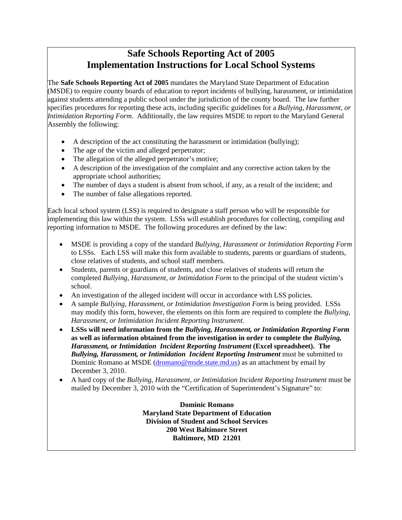# **Safe Schools Reporting Act of 2005 Implementation Instructions for Local School Systems**

The **Safe Schools Reporting Act of 2005** mandates the Maryland State Department of Education (MSDE) to require county boards of education to report incidents of bullying, harassment, or intimidation against students attending a public school under the jurisdiction of the county board. The law further specifies procedures for reporting these acts, including specific guidelines for a *Bullying, Harassment, or Intimidation Reporting Form*. Additionally, the law requires MSDE to report to the Maryland General Assembly the following:

- A description of the act constituting the harassment or intimidation (bullying);
- The age of the victim and alleged perpetrator;
- The allegation of the alleged perpetrator's motive;
- A description of the investigation of the complaint and any corrective action taken by the appropriate school authorities;
- The number of days a student is absent from school, if any, as a result of the incident; and
- The number of false allegations reported.

Each local school system (LSS) is required to designate a staff person who will be responsible for implementing this law within the system. LSSs will establish procedures for collecting, compiling and reporting information to MSDE. The following procedures are defined by the law:

- MSDE is providing a copy of the standard *Bullying, Harassment or Intimidation Reporting Form* to LSSs. Each LSS will make this form available to students, parents or guardians of students, close relatives of students, and school staff members.
- Students, parents or guardians of students, and close relatives of students will return the completed *Bullying, Harassment, or Intimidation Form* to the principal of the student victim's school.
- An investigation of the alleged incident will occur in accordance with LSS policies.
- A sample *Bullying, Harassment, or Intimidation Investigation Form* is being provided. LSSs may modify this form, however, the elements on this form are required to complete the *Bullying, Harassment, or Intimidation Incident Reporting Instrument*.
- **LSSs will need information from the** *Bullying, Harassment, or Intimidation Reporting Form*  **as well as information obtained from the investigation in order to complete the** *Bullying, Harassment, or Intimidation Incident Reporting Instrument* **(Excel spreadsheet). The**  *Bullying, Harassment, or Intimidation Incident Reporting Instrument* must be submitted to Dominic Romano at MSDE (dromano@msde.state.md.us) as an attachment by email by December 3, 2010.
- A hard copy of the *Bullying, Harassment, or Intimidation Incident Reporting Instrument* must be mailed by December 3, 2010 with the "Certification of Superintendent's Signature" to:

**Dominic Romano Maryland State Department of Education Division of Student and School Services 200 West Baltimore Street Baltimore, MD 21201**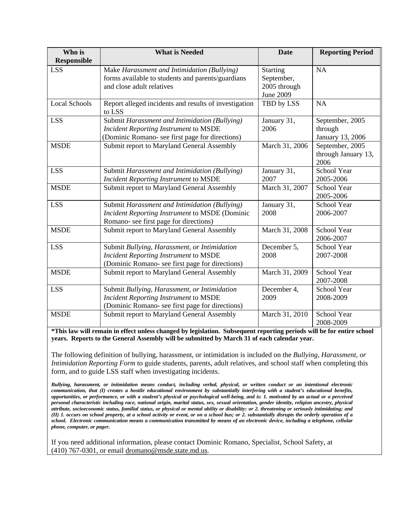| Who is               | <b>What is Needed</b>                                           | <b>Date</b>     | <b>Reporting Period</b> |
|----------------------|-----------------------------------------------------------------|-----------------|-------------------------|
| <b>Responsible</b>   |                                                                 |                 |                         |
| <b>LSS</b>           | Make Harassment and Intimidation (Bullying)                     | <b>Starting</b> | <b>NA</b>               |
|                      | forms available to students and parents/guardians               | September,      |                         |
|                      | and close adult relatives                                       | 2005 through    |                         |
|                      |                                                                 | June 2009       |                         |
| <b>Local Schools</b> | Report alleged incidents and results of investigation<br>to LSS | TBD by LSS      | NA                      |
| <b>LSS</b>           | Submit Harassment and Intimidation (Bullying)                   | January 31,     | September, 2005         |
|                      | <b>Incident Reporting Instrument to MSDE</b>                    | 2006            | through                 |
|                      | (Dominic Romano- see first page for directions)                 |                 | January 13, 2006        |
| <b>MSDE</b>          | Submit report to Maryland General Assembly                      | March 31, 2006  | September, 2005         |
|                      |                                                                 |                 | through January 13,     |
|                      |                                                                 |                 | 2006                    |
| <b>LSS</b>           | Submit Harassment and Intimidation (Bullying)                   | January 31,     | School Year             |
|                      | <b>Incident Reporting Instrument to MSDE</b>                    | 2007            | 2005-2006               |
| <b>MSDE</b>          | Submit report to Maryland General Assembly                      | March 31, 2007  | <b>School Year</b>      |
|                      |                                                                 |                 | 2005-2006               |
| <b>LSS</b>           | Submit Harassment and Intimidation (Bullying)                   | January 31,     | School Year             |
|                      | Incident Reporting Instrument to MSDE (Dominic                  | 2008            | 2006-2007               |
|                      | Romano- see first page for directions)                          |                 |                         |
| <b>MSDE</b>          | Submit report to Maryland General Assembly                      | March 31, 2008  | <b>School Year</b>      |
|                      |                                                                 |                 | 2006-2007               |
| <b>LSS</b>           | Submit Bullying, Harassment, or Intimidation                    | December 5,     | School Year             |
|                      | <b>Incident Reporting Instrument to MSDE</b>                    | 2008            | 2007-2008               |
|                      | (Dominic Romano- see first page for directions)                 |                 |                         |
| <b>MSDE</b>          | Submit report to Maryland General Assembly                      | March 31, 2009  | School Year             |
|                      |                                                                 |                 | 2007-2008               |
| <b>LSS</b>           | Submit Bullying, Harassment, or Intimidation                    | December 4,     | School Year             |
|                      | <b>Incident Reporting Instrument to MSDE</b>                    | 2009            | 2008-2009               |
|                      | (Dominic Romano- see first page for directions)                 |                 |                         |
| <b>MSDE</b>          | Submit report to Maryland General Assembly                      | March 31, 2010  | School Year             |
|                      |                                                                 |                 | 2008-2009               |

**\*This law will remain in effect unless changed by legislation. Subsequent reporting periods will be for entire school years. Reports to the General Assembly will be submitted by March 31 of each calendar year.** 

The following definition of bullying, harassment, or intimidation is included on the *Bullying*, *Harassment, or Intimidation Reporting Form* to guide students, parents, adult relatives, and school staff when completing this form, and to guide LSS staff when investigating incidents.

*Bullying, harassment, or intimidation means conduct, including verbal, physical, or written conduct or an intentional electronic communication, that (I) creates a hostile educational environment by substantially interfering with a student's educational benefits, opportunities, or performance, or with a student's physical or psychological well-being, and is: 1. motivated by an actual or a perceived personal characteristic including race, national origin, marital status, sex, sexual orientation, gender identity, religion ancestry, physical attribute, socioeconomic status, familial status, or physical or mental ability or disability: or 2. threatening or seriously intimidating; and (II) 1. occurs on school property, at a school activity or event, or on a school bus; or 2. substantially disrupts the orderly operation of a school. Electronic communication means a communication transmitted by means of an electronic device, including a telephone, cellular phone, computer, or pager.* 

If you need additional information, please contact Dominic Romano, Specialist, School Safety, at (410) 767-0301, or email dromano@msde.state.md.us.